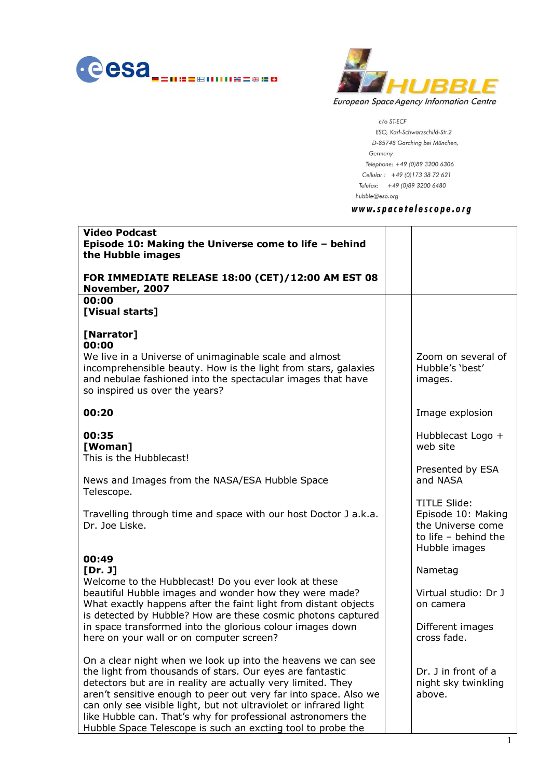



c/o ST-ECF ESO, Karl-Schwarzschild-Str.2 D-85748 Garching bei München, Germany Telephone: +49 (0)89 3200 6306 Cellular: +49 (0)173 38 72 621 Telefax: +49 (0)89 3200 6480  $hubble@eso.org$ 

### www.spacetelescope.org

| <b>Video Podcast</b><br>Episode 10: Making the Universe come to life - behind<br>the Hubble images                                                                                                                                                                                                                                                                                                                                                                |                                                                                                           |
|-------------------------------------------------------------------------------------------------------------------------------------------------------------------------------------------------------------------------------------------------------------------------------------------------------------------------------------------------------------------------------------------------------------------------------------------------------------------|-----------------------------------------------------------------------------------------------------------|
| FOR IMMEDIATE RELEASE 18:00 (CET)/12:00 AM EST 08<br>November, 2007                                                                                                                                                                                                                                                                                                                                                                                               |                                                                                                           |
| 00:00<br>[Visual starts]                                                                                                                                                                                                                                                                                                                                                                                                                                          |                                                                                                           |
| [Narrator]<br>00:00<br>We live in a Universe of unimaginable scale and almost<br>incomprehensible beauty. How is the light from stars, galaxies<br>and nebulae fashioned into the spectacular images that have<br>so inspired us over the years?                                                                                                                                                                                                                  | Zoom on several of<br>Hubble's 'best'<br>images.                                                          |
| 00:20                                                                                                                                                                                                                                                                                                                                                                                                                                                             | Image explosion                                                                                           |
| 00:35<br>[Woman]<br>This is the Hubblecast!                                                                                                                                                                                                                                                                                                                                                                                                                       | Hubblecast Logo +<br>web site                                                                             |
| News and Images from the NASA/ESA Hubble Space<br>Telescope.                                                                                                                                                                                                                                                                                                                                                                                                      | Presented by ESA<br>and NASA                                                                              |
| Travelling through time and space with our host Doctor J a.k.a.<br>Dr. Joe Liske.                                                                                                                                                                                                                                                                                                                                                                                 | <b>TITLE Slide:</b><br>Episode 10: Making<br>the Universe come<br>to life $-$ behind the<br>Hubble images |
| 00:49<br>[Dr. J]                                                                                                                                                                                                                                                                                                                                                                                                                                                  | Nametag                                                                                                   |
| Welcome to the Hubblecast! Do you ever look at these<br>beautiful Hubble images and wonder how they were made?<br>What exactly happens after the faint light from distant objects<br>is detected by Hubble? How are these cosmic photons captured                                                                                                                                                                                                                 | Virtual studio: Dr J<br>on camera                                                                         |
| in space transformed into the glorious colour images down<br>here on your wall or on computer screen?                                                                                                                                                                                                                                                                                                                                                             | Different images<br>cross fade.                                                                           |
| On a clear night when we look up into the heavens we can see<br>the light from thousands of stars. Our eyes are fantastic<br>detectors but are in reality are actually very limited. They<br>aren't sensitive enough to peer out very far into space. Also we<br>can only see visible light, but not ultraviolet or infrared light<br>like Hubble can. That's why for professional astronomers the<br>Hubble Space Telescope is such an excting tool to probe the | Dr. J in front of a<br>night sky twinkling<br>above.                                                      |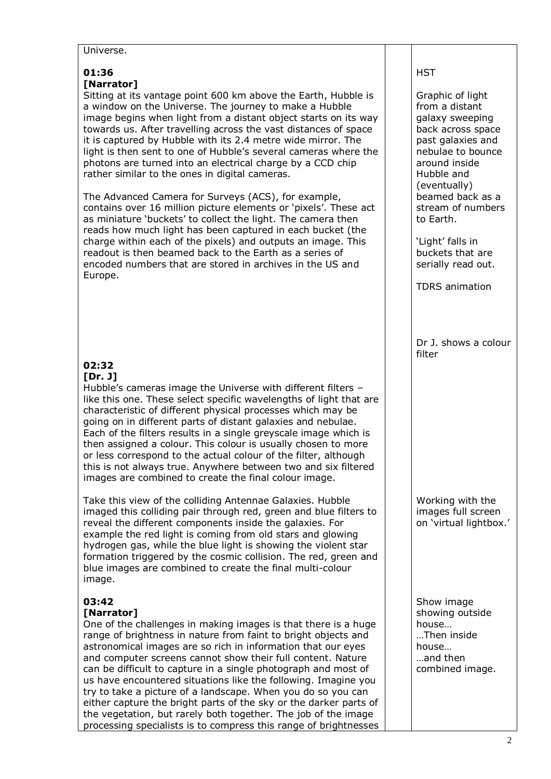#### Universe.

# **01:36 [Narrator]**

Sitting at its vantage point 600 km above the Earth, Hubble is a window on the Universe. The journey to make a Hubble image begins when light from a distant object starts on its way towards us. After travelling across the vast distances of space it is captured by Hubble with its 2.4 metre wide mirror. The light is then sent to one of Hubble's several cameras where the photons are turned into an electrical charge by a CCD chip rather similar to the ones in digital cameras.

The Advanced Camera for Surveys (ACS), for example, contains over 16 million picture elements or 'pixels'. These act as miniature 'buckets' to collect the light. The camera then reads how much light has been captured in each bucket (the charge within each of the pixels) and outputs an image. This readout is then beamed back to the Earth as a series of encoded numbers that are stored in archives in the US and Europe.

#### **02:32 [Dr. J]**

Hubble's cameras image the Universe with different filters – like this one. These select specific wavelengths of light that are characteristic of different physical processes which may be going on in different parts of distant galaxies and nebulae. Each of the filters results in a single greyscale image which is then assigned a colour. This colour is usually chosen to more or less correspond to the actual colour of the filter, although this is not always true. Anywhere between two and six filtered images are combined to create the final colour image.

Take this view of the colliding Antennae Galaxies. Hubble imaged this colliding pair through red, green and blue filters to reveal the different components inside the galaxies. For example the red light is coming from old stars and glowing hydrogen gas, while the blue light is showing the violent star formation triggered by the cosmic collision. The red, green and blue images are combined to create the final multi-colour image.

# **03:42**

# **[Narrator]**

One of the challenges in making images is that there is a huge range of brightness in nature from faint to bright objects and astronomical images are so rich in information that our eyes and computer screens cannot show their full content. Nature can be difficult to capture in a single photograph and most of us have encountered situations like the following. Imagine you try to take a picture of a landscape. When you do so you can either capture the bright parts of the sky or the darker parts of the vegetation, but rarely both together. The job of the image processing specialists is to compress this range of brightnesses

# **HST**

Graphic of light from a distant galaxy sweeping back across space past galaxies and nebulae to bounce around inside Hubble and (eventually) beamed back as a stream of numbers to Earth.

'Light' falls in buckets that are serially read out.

TDRS animation

Dr J. shows a colour filter

Working with the images full screen on 'virtual lightbox.'

Show image showing outside house… …Then inside house… …and then combined image.